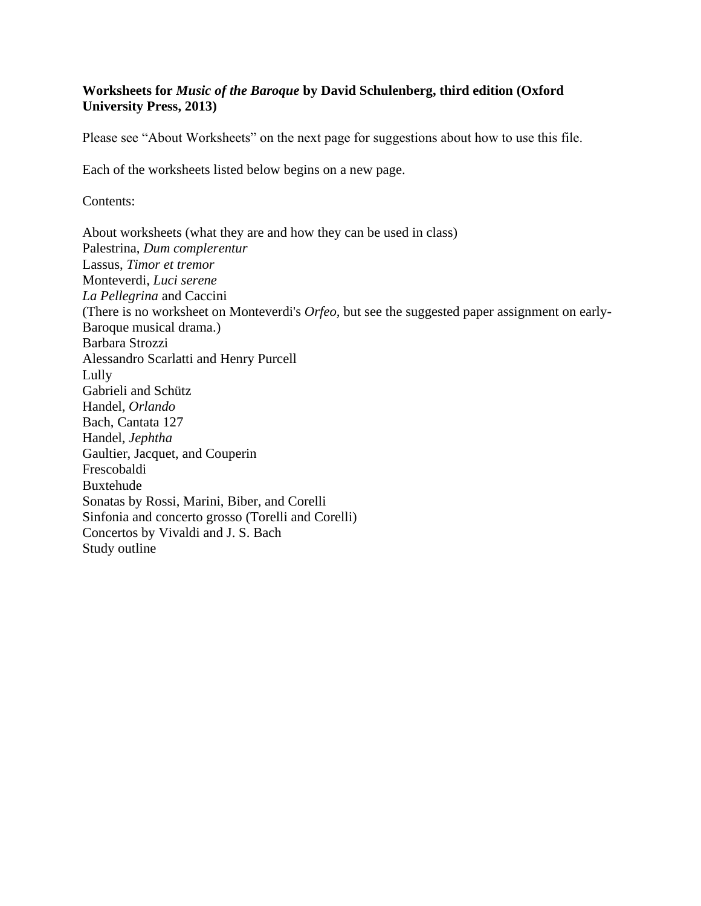## **Worksheets for** *Music of the Baroque* **by David Schulenberg, third edition (Oxford University Press, 2013)**

Please see "About Worksheets" on the next page for suggestions about how to use this file.

Each of the worksheets listed below begins on a new page.

Contents:

About worksheets (what they are and how they can be used in class) Palestrina, *Dum complerentur* Lassus, *Timor et tremor* Monteverdi, *Luci serene La Pellegrina* and Caccini (There is no worksheet on Monteverdi's *Orfeo,* but see the suggested paper assignment on early-Baroque musical drama.) Barbara Strozzi Alessandro Scarlatti and Henry Purcell Lully Gabrieli and Schütz Handel, *Orlando* Bach, Cantata 127 Handel, *Jephtha* Gaultier, Jacquet, and Couperin Frescobaldi Buxtehude Sonatas by Rossi, Marini, Biber, and Corelli Sinfonia and concerto grosso (Torelli and Corelli) Concertos by Vivaldi and J. S. Bach Study outline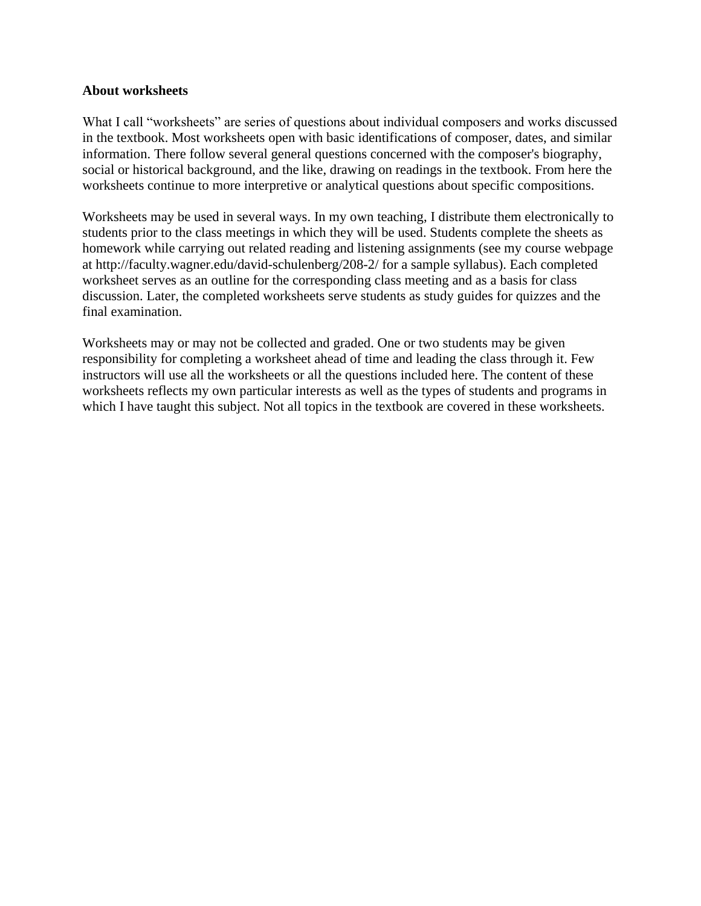#### **About worksheets**

What I call "worksheets" are series of questions about individual composers and works discussed in the textbook. Most worksheets open with basic identifications of composer, dates, and similar information. There follow several general questions concerned with the composer's biography, social or historical background, and the like, drawing on readings in the textbook. From here the worksheets continue to more interpretive or analytical questions about specific compositions.

Worksheets may be used in several ways. In my own teaching, I distribute them electronically to students prior to the class meetings in which they will be used. Students complete the sheets as homework while carrying out related reading and listening assignments (see my course webpage at http://faculty.wagner.edu/david-schulenberg/208-2/ for a sample syllabus). Each completed worksheet serves as an outline for the corresponding class meeting and as a basis for class discussion. Later, the completed worksheets serve students as study guides for quizzes and the final examination.

Worksheets may or may not be collected and graded. One or two students may be given responsibility for completing a worksheet ahead of time and leading the class through it. Few instructors will use all the worksheets or all the questions included here. The content of these worksheets reflects my own particular interests as well as the types of students and programs in which I have taught this subject. Not all topics in the textbook are covered in these worksheets.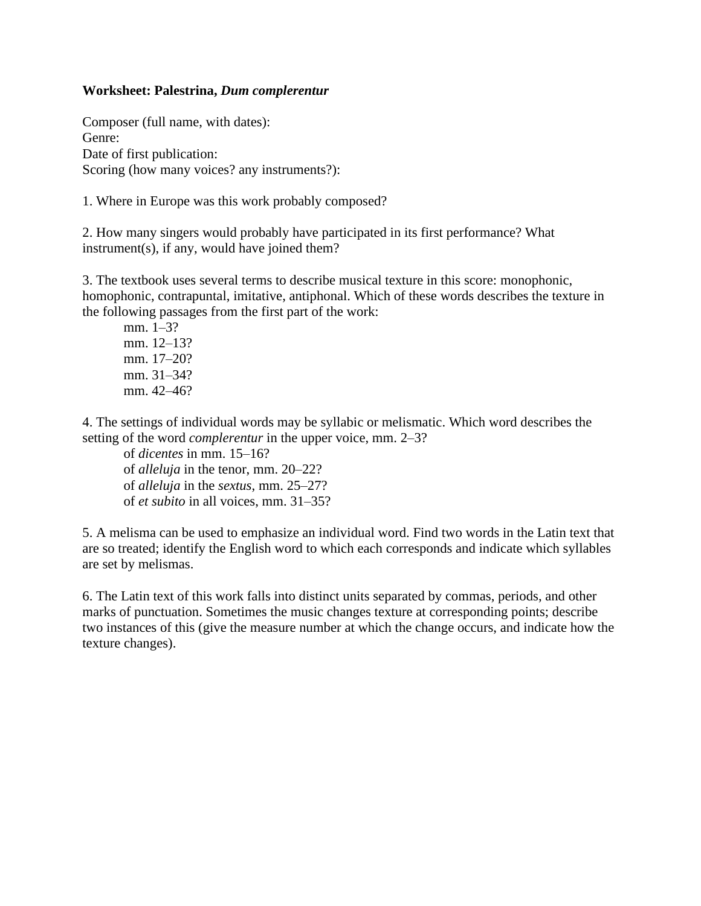#### **Worksheet: Palestrina,** *Dum complerentur*

Composer (full name, with dates): Genre: Date of first publication: Scoring (how many voices? any instruments?):

1. Where in Europe was this work probably composed?

2. How many singers would probably have participated in its first performance? What instrument(s), if any, would have joined them?

3. The textbook uses several terms to describe musical texture in this score: monophonic, homophonic, contrapuntal, imitative, antiphonal. Which of these words describes the texture in the following passages from the first part of the work:

mm. 1–3? mm. 12–13? mm. 17–20? mm. 31–34? mm. 42–46?

4. The settings of individual words may be syllabic or melismatic. Which word describes the setting of the word *complerentur* in the upper voice, mm. 2–3?

of *dicentes* in mm. 15–16? of *alleluja* in the tenor, mm. 20–22? of *alleluja* in the *sextus*, mm. 25–27? of *et subito* in all voices, mm. 31–35?

5. A melisma can be used to emphasize an individual word. Find two words in the Latin text that are so treated; identify the English word to which each corresponds and indicate which syllables are set by melismas.

6. The Latin text of this work falls into distinct units separated by commas, periods, and other marks of punctuation. Sometimes the music changes texture at corresponding points; describe two instances of this (give the measure number at which the change occurs, and indicate how the texture changes).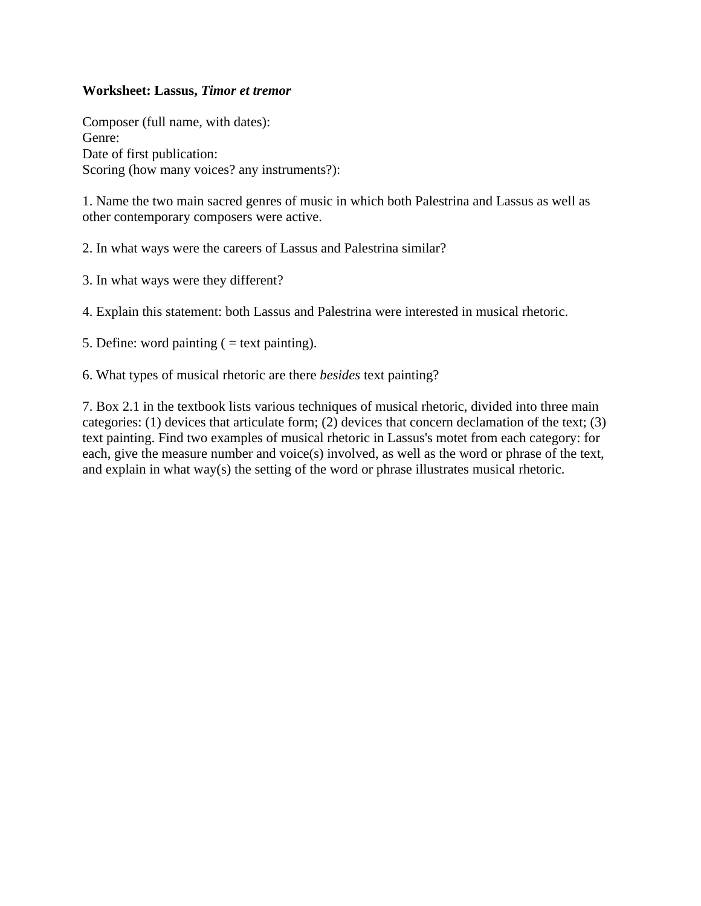#### **Worksheet: Lassus,** *Timor et tremor*

Composer (full name, with dates): Genre: Date of first publication: Scoring (how many voices? any instruments?):

1. Name the two main sacred genres of music in which both Palestrina and Lassus as well as other contemporary composers were active.

2. In what ways were the careers of Lassus and Palestrina similar?

3. In what ways were they different?

4. Explain this statement: both Lassus and Palestrina were interested in musical rhetoric.

5. Define: word painting  $($  = text painting).

6. What types of musical rhetoric are there *besides* text painting?

7. Box 2.1 in the textbook lists various techniques of musical rhetoric, divided into three main categories: (1) devices that articulate form; (2) devices that concern declamation of the text; (3) text painting. Find two examples of musical rhetoric in Lassus's motet from each category: for each, give the measure number and voice(s) involved, as well as the word or phrase of the text, and explain in what way(s) the setting of the word or phrase illustrates musical rhetoric.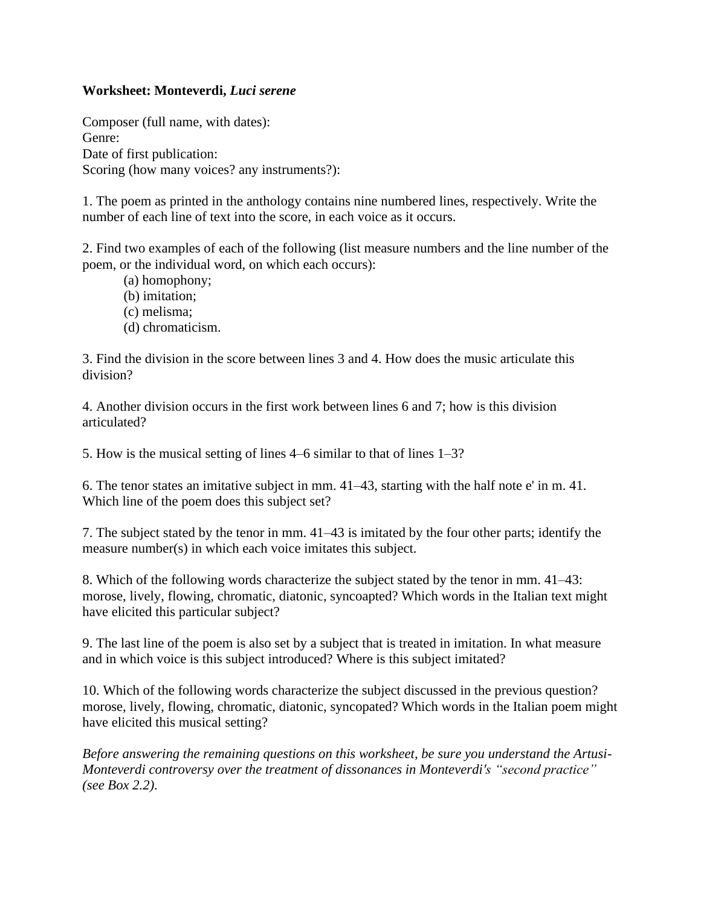## **Worksheet: Monteverdi,** *Luci serene*

Composer (full name, with dates): Genre: Date of first publication: Scoring (how many voices? any instruments?):

1. The poem as printed in the anthology contains nine numbered lines, respectively. Write the number of each line of text into the score, in each voice as it occurs.

2. Find two examples of each of the following (list measure numbers and the line number of the poem, or the individual word, on which each occurs):

(a) homophony; (b) imitation; (c) melisma; (d) chromaticism.

3. Find the division in the score between lines 3 and 4. How does the music articulate this division?

4. Another division occurs in the first work between lines 6 and 7; how is this division articulated?

5. How is the musical setting of lines 4–6 similar to that of lines 1–3?

6. The tenor states an imitative subject in mm. 41–43, starting with the half note e' in m. 41. Which line of the poem does this subject set?

7. The subject stated by the tenor in mm. 41–43 is imitated by the four other parts; identify the measure number(s) in which each voice imitates this subject.

8. Which of the following words characterize the subject stated by the tenor in mm. 41–43: morose, lively, flowing, chromatic, diatonic, syncoapted? Which words in the Italian text might have elicited this particular subject?

9. The last line of the poem is also set by a subject that is treated in imitation. In what measure and in which voice is this subject introduced? Where is this subject imitated?

10. Which of the following words characterize the subject discussed in the previous question? morose, lively, flowing, chromatic, diatonic, syncopated? Which words in the Italian poem might have elicited this musical setting?

*Before answering the remaining questions on this worksheet, be sure you understand the Artusi-Monteverdi controversy over the treatment of dissonances in Monteverdi's "second practice" (see Box 2.2).*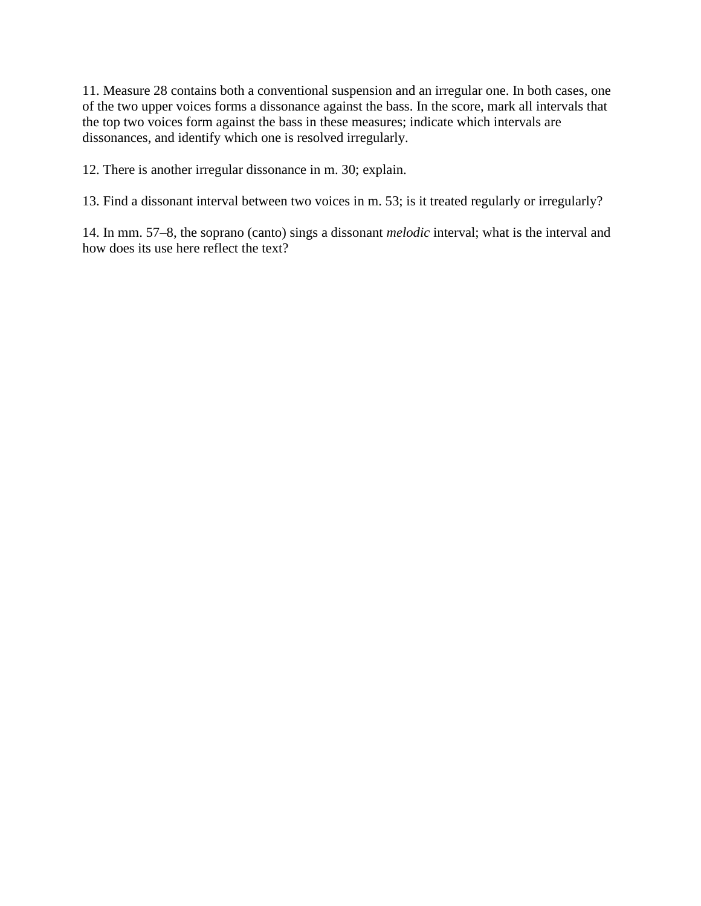11. Measure 28 contains both a conventional suspension and an irregular one. In both cases, one of the two upper voices forms a dissonance against the bass. In the score, mark all intervals that the top two voices form against the bass in these measures; indicate which intervals are dissonances, and identify which one is resolved irregularly.

12. There is another irregular dissonance in m. 30; explain.

13. Find a dissonant interval between two voices in m. 53; is it treated regularly or irregularly?

14. In mm. 57–8, the soprano (canto) sings a dissonant *melodic* interval; what is the interval and how does its use here reflect the text?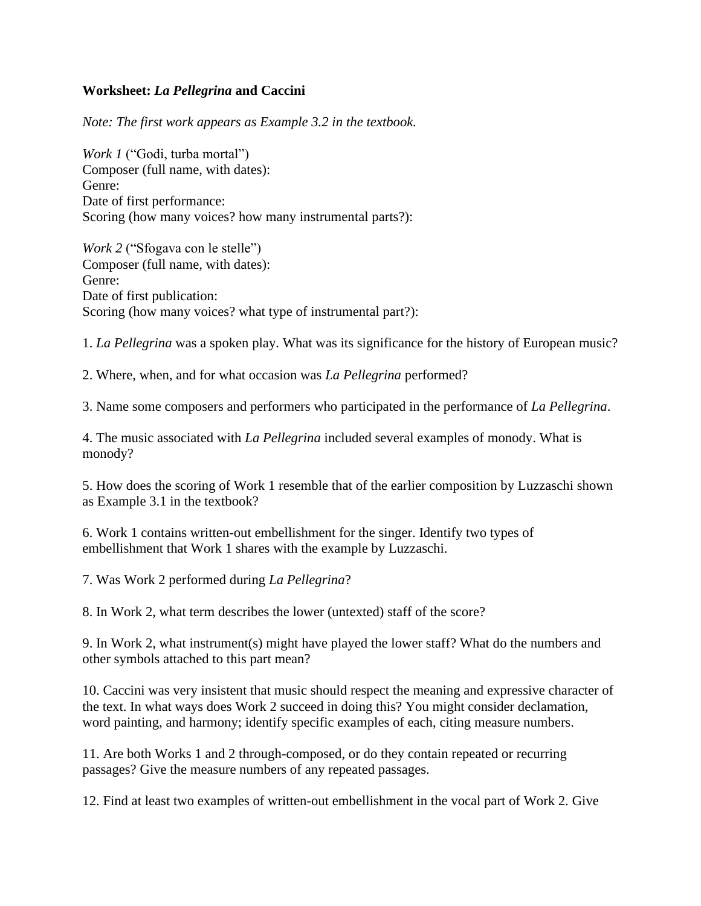## **Worksheet:** *La Pellegrina* **and Caccini**

*Note: The first work appears as Example 3.2 in the textbook.*

*Work 1* ("Godi, turba mortal") Composer (full name, with dates): Genre: Date of first performance: Scoring (how many voices? how many instrumental parts?):

*Work 2* ("Sfogava con le stelle") Composer (full name, with dates): Genre: Date of first publication: Scoring (how many voices? what type of instrumental part?):

1. *La Pellegrina* was a spoken play. What was its significance for the history of European music?

2. Where, when, and for what occasion was *La Pellegrina* performed?

3. Name some composers and performers who participated in the performance of *La Pellegrina*.

4. The music associated with *La Pellegrina* included several examples of monody. What is monody?

5. How does the scoring of Work 1 resemble that of the earlier composition by Luzzaschi shown as Example 3.1 in the textbook?

6. Work 1 contains written-out embellishment for the singer. Identify two types of embellishment that Work 1 shares with the example by Luzzaschi.

7. Was Work 2 performed during *La Pellegrina*?

8. In Work 2, what term describes the lower (untexted) staff of the score?

9. In Work 2, what instrument(s) might have played the lower staff? What do the numbers and other symbols attached to this part mean?

10. Caccini was very insistent that music should respect the meaning and expressive character of the text. In what ways does Work 2 succeed in doing this? You might consider declamation, word painting, and harmony; identify specific examples of each, citing measure numbers.

11. Are both Works 1 and 2 through-composed, or do they contain repeated or recurring passages? Give the measure numbers of any repeated passages.

12. Find at least two examples of written-out embellishment in the vocal part of Work 2. Give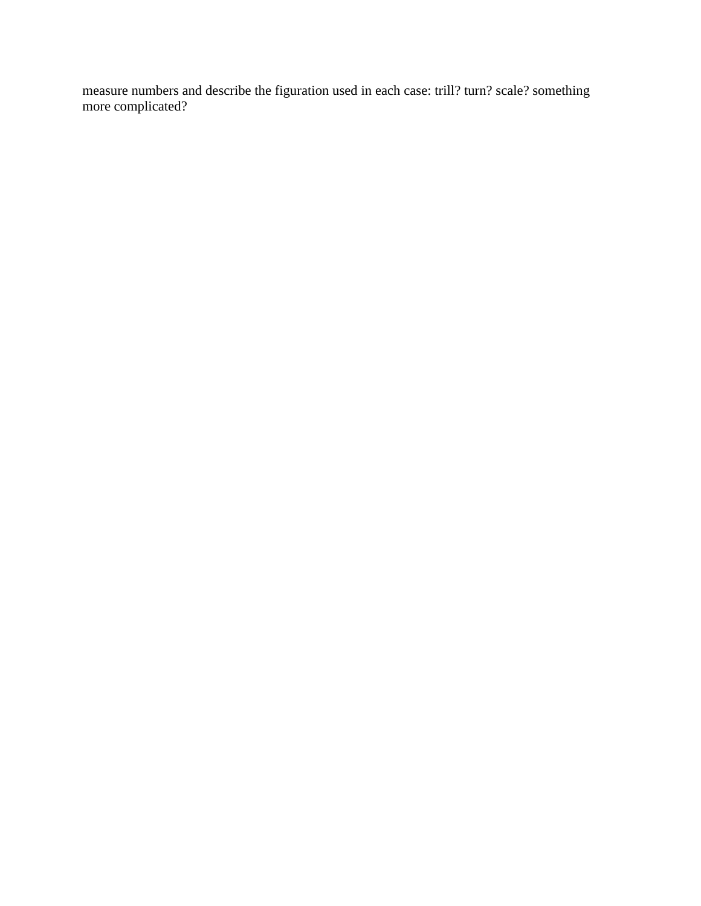measure numbers and describe the figuration used in each case: trill? turn? scale? something more complicated?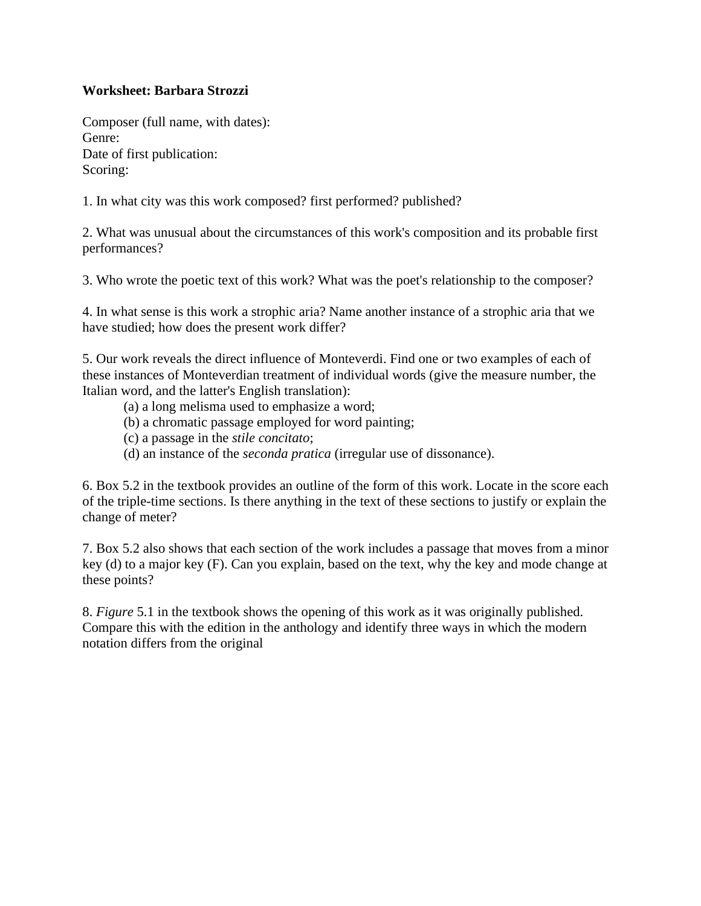## **Worksheet: Barbara Strozzi**

Composer (full name, with dates): Genre: Date of first publication: Scoring:

1. In what city was this work composed? first performed? published?

2. What was unusual about the circumstances of this work's composition and its probable first performances?

3. Who wrote the poetic text of this work? What was the poet's relationship to the composer?

4. In what sense is this work a strophic aria? Name another instance of a strophic aria that we have studied; how does the present work differ?

5. Our work reveals the direct influence of Monteverdi. Find one or two examples of each of these instances of Monteverdian treatment of individual words (give the measure number, the Italian word, and the latter's English translation):

- (a) a long melisma used to emphasize a word;
- (b) a chromatic passage employed for word painting;
- (c) a passage in the *stile concitato*;
- (d) an instance of the *seconda pratica* (irregular use of dissonance).

6. Box 5.2 in the textbook provides an outline of the form of this work. Locate in the score each of the triple-time sections. Is there anything in the text of these sections to justify or explain the change of meter?

7. Box 5.2 also shows that each section of the work includes a passage that moves from a minor key (d) to a major key (F). Can you explain, based on the text, why the key and mode change at these points?

8. *Figure* 5.1 in the textbook shows the opening of this work as it was originally published. Compare this with the edition in the anthology and identify three ways in which the modern notation differs from the original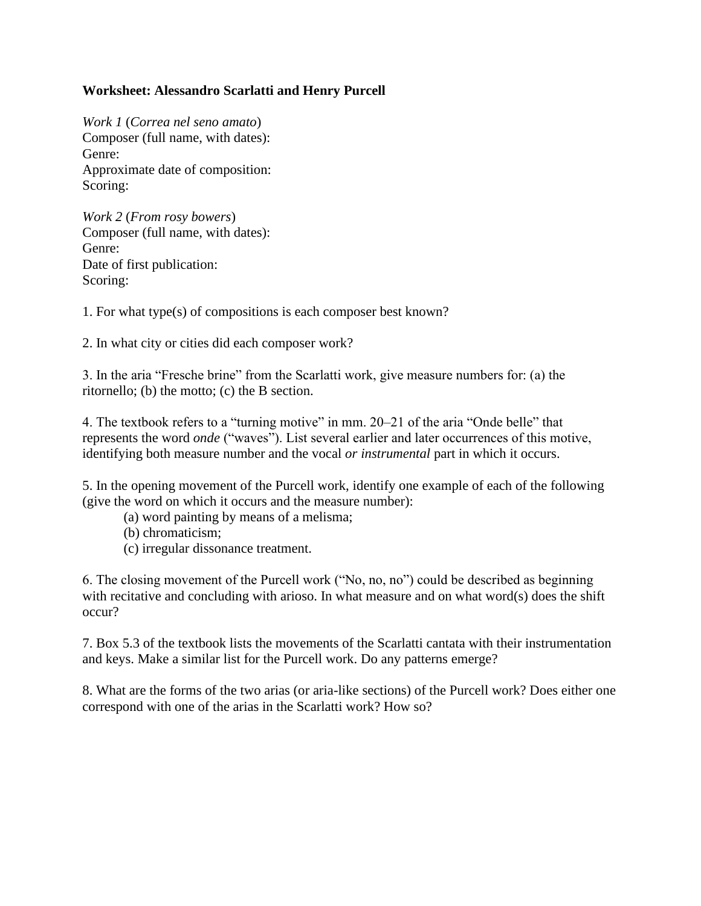# **Worksheet: Alessandro Scarlatti and Henry Purcell**

*Work 1* (*Correa nel seno amato*) Composer (full name, with dates): Genre: Approximate date of composition: Scoring:

*Work 2* (*From rosy bowers*) Composer (full name, with dates): Genre: Date of first publication: Scoring:

1. For what type(s) of compositions is each composer best known?

2. In what city or cities did each composer work?

3. In the aria "Fresche brine" from the Scarlatti work, give measure numbers for: (a) the ritornello; (b) the motto; (c) the B section.

4. The textbook refers to a "turning motive" in mm. 20–21 of the aria "Onde belle" that represents the word *onde* ("waves"). List several earlier and later occurrences of this motive, identifying both measure number and the vocal *or instrumental* part in which it occurs.

5. In the opening movement of the Purcell work, identify one example of each of the following (give the word on which it occurs and the measure number):

- (a) word painting by means of a melisma;
- (b) chromaticism;
- (c) irregular dissonance treatment.

6. The closing movement of the Purcell work ("No, no, no") could be described as beginning with recitative and concluding with arioso. In what measure and on what word(s) does the shift occur?

7. Box 5.3 of the textbook lists the movements of the Scarlatti cantata with their instrumentation and keys. Make a similar list for the Purcell work. Do any patterns emerge?

8. What are the forms of the two arias (or aria-like sections) of the Purcell work? Does either one correspond with one of the arias in the Scarlatti work? How so?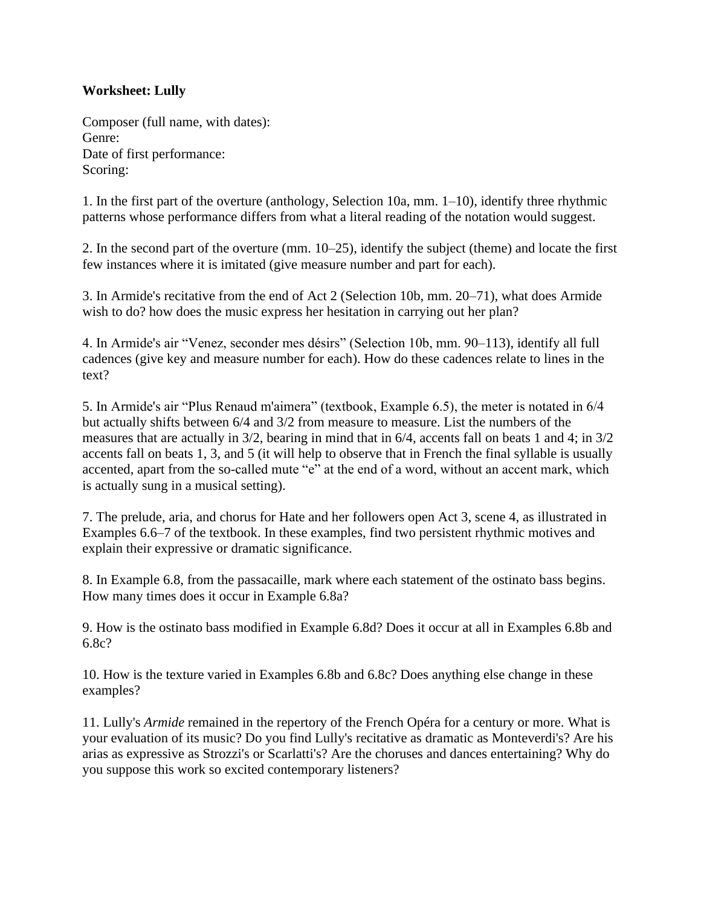## **Worksheet: Lully**

Composer (full name, with dates): Genre: Date of first performance: Scoring:

1. In the first part of the overture (anthology, Selection 10a, mm. 1–10), identify three rhythmic patterns whose performance differs from what a literal reading of the notation would suggest.

2. In the second part of the overture (mm. 10–25), identify the subject (theme) and locate the first few instances where it is imitated (give measure number and part for each).

3. In Armide's recitative from the end of Act 2 (Selection 10b, mm. 20–71), what does Armide wish to do? how does the music express her hesitation in carrying out her plan?

4. In Armide's air "Venez, seconder mes désirs" (Selection 10b, mm. 90–113), identify all full cadences (give key and measure number for each). How do these cadences relate to lines in the text?

5. In Armide's air "Plus Renaud m'aimera" (textbook, Example 6.5), the meter is notated in 6/4 but actually shifts between 6/4 and 3/2 from measure to measure. List the numbers of the measures that are actually in 3/2, bearing in mind that in 6/4, accents fall on beats 1 and 4; in 3/2 accents fall on beats 1, 3, and 5 (it will help to observe that in French the final syllable is usually accented, apart from the so-called mute "e" at the end of a word, without an accent mark, which is actually sung in a musical setting).

7. The prelude, aria, and chorus for Hate and her followers open Act 3, scene 4, as illustrated in Examples 6.6–7 of the textbook. In these examples, find two persistent rhythmic motives and explain their expressive or dramatic significance.

8. In Example 6.8, from the passacaille, mark where each statement of the ostinato bass begins. How many times does it occur in Example 6.8a?

9. How is the ostinato bass modified in Example 6.8d? Does it occur at all in Examples 6.8b and 6.8c?

10. How is the texture varied in Examples 6.8b and 6.8c? Does anything else change in these examples?

11. Lully's *Armide* remained in the repertory of the French Opéra for a century or more. What is your evaluation of its music? Do you find Lully's recitative as dramatic as Monteverdi's? Are his arias as expressive as Strozzi's or Scarlatti's? Are the choruses and dances entertaining? Why do you suppose this work so excited contemporary listeners?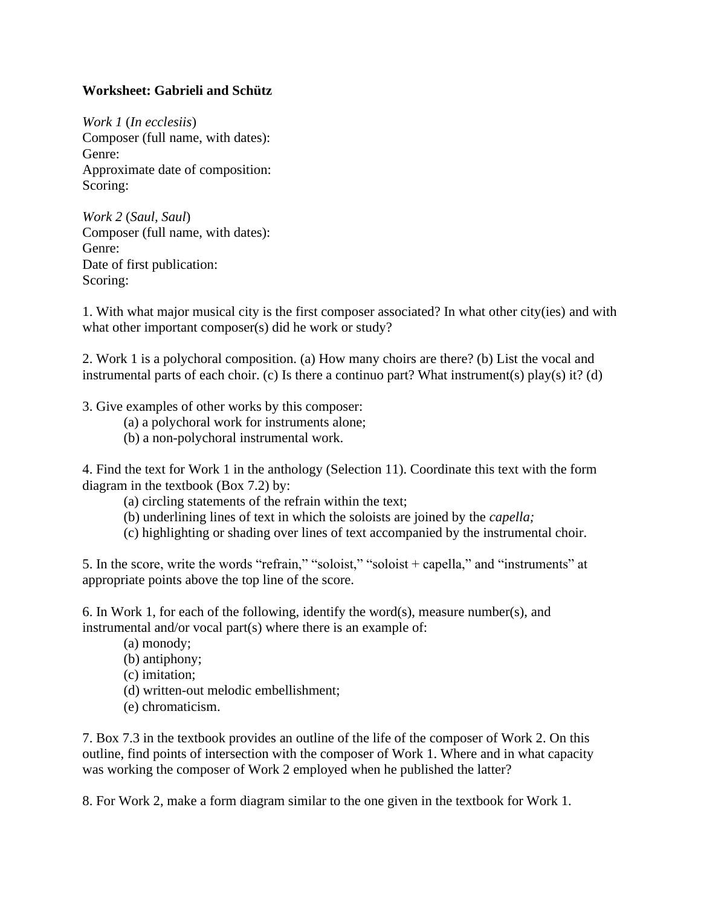## **Worksheet: Gabrieli and Schütz**

*Work 1* (*In ecclesiis*) Composer (full name, with dates): Genre: Approximate date of composition: Scoring:

*Work 2* (*Saul, Saul*) Composer (full name, with dates): Genre: Date of first publication: Scoring:

1. With what major musical city is the first composer associated? In what other city(ies) and with what other important composer(s) did he work or study?

2. Work 1 is a polychoral composition. (a) How many choirs are there? (b) List the vocal and instrumental parts of each choir. (c) Is there a continuo part? What instrument(s) play(s) it? (d)

3. Give examples of other works by this composer:

- (a) a polychoral work for instruments alone;
- (b) a non-polychoral instrumental work.

4. Find the text for Work 1 in the anthology (Selection 11). Coordinate this text with the form diagram in the textbook (Box 7.2) by:

- (a) circling statements of the refrain within the text;
- (b) underlining lines of text in which the soloists are joined by the *capella;*

(c) highlighting or shading over lines of text accompanied by the instrumental choir.

5. In the score, write the words "refrain," "soloist," "soloist + capella," and "instruments" at appropriate points above the top line of the score.

6. In Work 1, for each of the following, identify the word(s), measure number(s), and instrumental and/or vocal part(s) where there is an example of:

- (a) monody;
- (b) antiphony;
- (c) imitation;
- (d) written-out melodic embellishment;
- (e) chromaticism.

7. Box 7.3 in the textbook provides an outline of the life of the composer of Work 2. On this outline, find points of intersection with the composer of Work 1. Where and in what capacity was working the composer of Work 2 employed when he published the latter?

8. For Work 2, make a form diagram similar to the one given in the textbook for Work 1.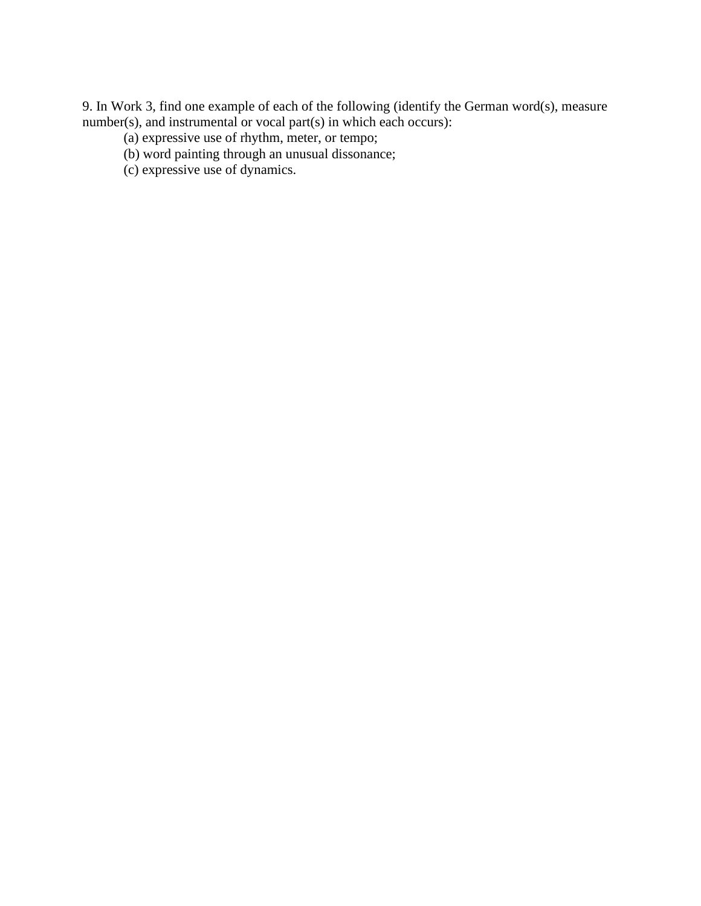9. In Work 3, find one example of each of the following (identify the German word(s), measure number(s), and instrumental or vocal part(s) in which each occurs):

- (a) expressive use of rhythm, meter, or tempo;
- (b) word painting through an unusual dissonance;
- (c) expressive use of dynamics.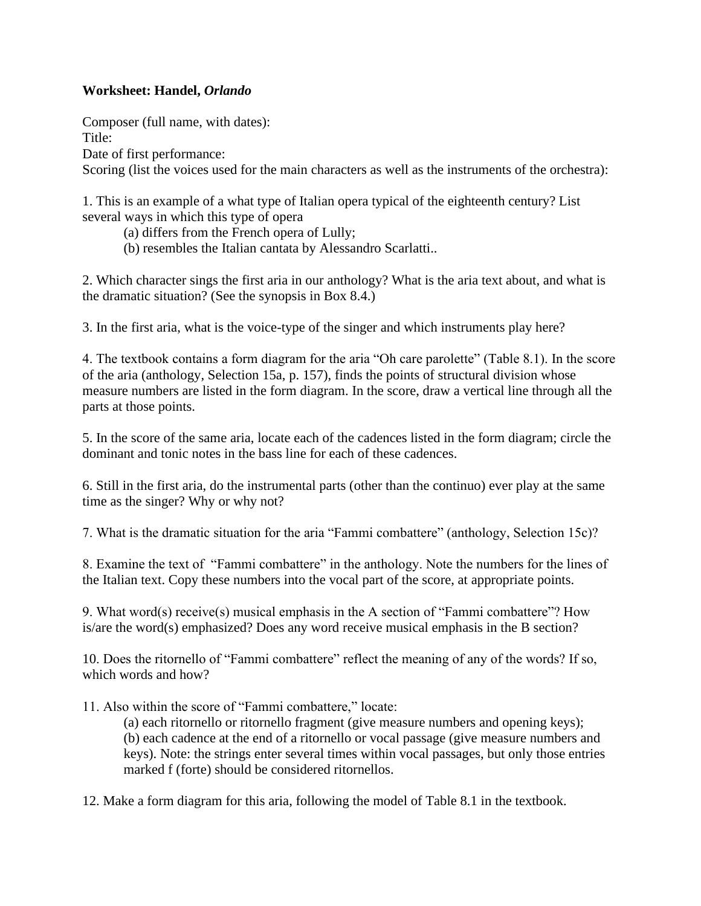# **Worksheet: Handel,** *Orlando*

Composer (full name, with dates): Title: Date of first performance: Scoring (list the voices used for the main characters as well as the instruments of the orchestra):

1. This is an example of a what type of Italian opera typical of the eighteenth century? List several ways in which this type of opera

(a) differs from the French opera of Lully;

(b) resembles the Italian cantata by Alessandro Scarlatti..

2. Which character sings the first aria in our anthology? What is the aria text about, and what is the dramatic situation? (See the synopsis in Box 8.4.)

3. In the first aria, what is the voice-type of the singer and which instruments play here?

4. The textbook contains a form diagram for the aria "Oh care parolette" (Table 8.1). In the score of the aria (anthology, Selection 15a, p. 157), finds the points of structural division whose measure numbers are listed in the form diagram. In the score, draw a vertical line through all the parts at those points.

5. In the score of the same aria, locate each of the cadences listed in the form diagram; circle the dominant and tonic notes in the bass line for each of these cadences.

6. Still in the first aria, do the instrumental parts (other than the continuo) ever play at the same time as the singer? Why or why not?

7. What is the dramatic situation for the aria "Fammi combattere" (anthology, Selection 15c)?

8. Examine the text of "Fammi combattere" in the anthology. Note the numbers for the lines of the Italian text. Copy these numbers into the vocal part of the score, at appropriate points.

9. What word(s) receive(s) musical emphasis in the A section of "Fammi combattere"? How is/are the word(s) emphasized? Does any word receive musical emphasis in the B section?

10. Does the ritornello of "Fammi combattere" reflect the meaning of any of the words? If so, which words and how?

11. Also within the score of "Fammi combattere," locate:

(a) each ritornello or ritornello fragment (give measure numbers and opening keys); (b) each cadence at the end of a ritornello or vocal passage (give measure numbers and keys). Note: the strings enter several times within vocal passages, but only those entries marked f (forte) should be considered ritornellos.

12. Make a form diagram for this aria, following the model of Table 8.1 in the textbook.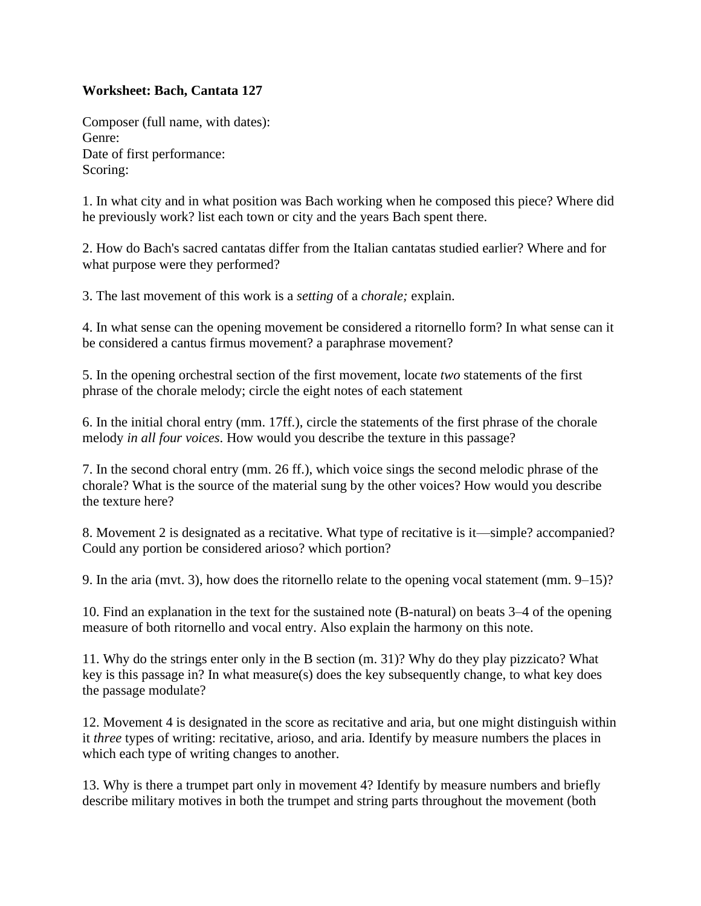# **Worksheet: Bach, Cantata 127**

Composer (full name, with dates): Genre: Date of first performance: Scoring:

1. In what city and in what position was Bach working when he composed this piece? Where did he previously work? list each town or city and the years Bach spent there.

2. How do Bach's sacred cantatas differ from the Italian cantatas studied earlier? Where and for what purpose were they performed?

3. The last movement of this work is a *setting* of a *chorale;* explain.

4. In what sense can the opening movement be considered a ritornello form? In what sense can it be considered a cantus firmus movement? a paraphrase movement?

5. In the opening orchestral section of the first movement, locate *two* statements of the first phrase of the chorale melody; circle the eight notes of each statement

6. In the initial choral entry (mm. 17ff.), circle the statements of the first phrase of the chorale melody *in all four voices*. How would you describe the texture in this passage?

7. In the second choral entry (mm. 26 ff.), which voice sings the second melodic phrase of the chorale? What is the source of the material sung by the other voices? How would you describe the texture here?

8. Movement 2 is designated as a recitative. What type of recitative is it—simple? accompanied? Could any portion be considered arioso? which portion?

9. In the aria (mvt. 3), how does the ritornello relate to the opening vocal statement (mm. 9–15)?

10. Find an explanation in the text for the sustained note (B-natural) on beats 3–4 of the opening measure of both ritornello and vocal entry. Also explain the harmony on this note.

11. Why do the strings enter only in the B section (m. 31)? Why do they play pizzicato? What key is this passage in? In what measure(s) does the key subsequently change, to what key does the passage modulate?

12. Movement 4 is designated in the score as recitative and aria, but one might distinguish within it *three* types of writing: recitative, arioso, and aria. Identify by measure numbers the places in which each type of writing changes to another.

13. Why is there a trumpet part only in movement 4? Identify by measure numbers and briefly describe military motives in both the trumpet and string parts throughout the movement (both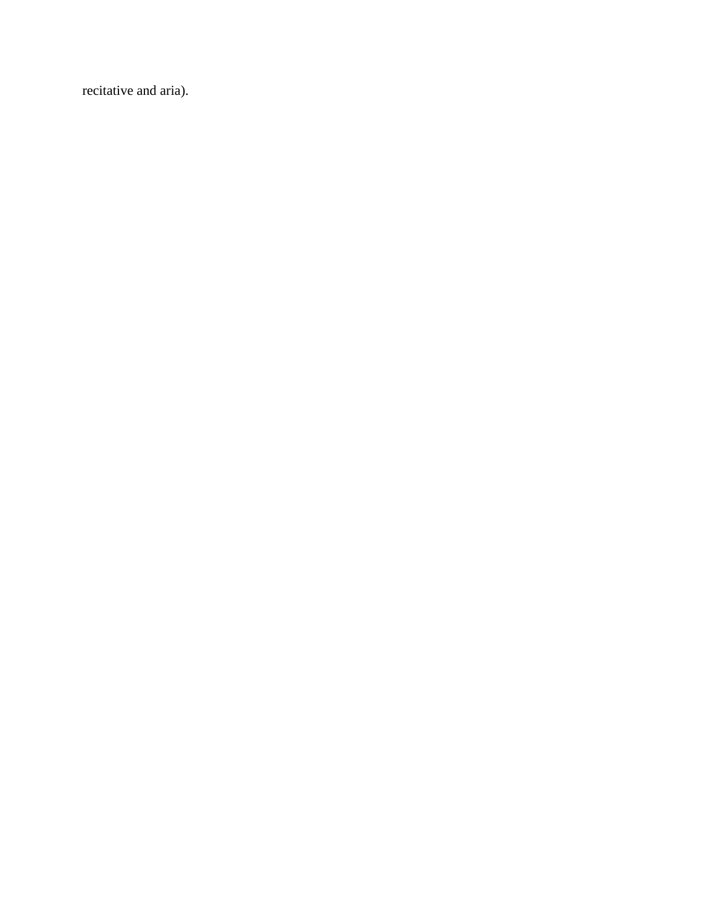recitative and aria).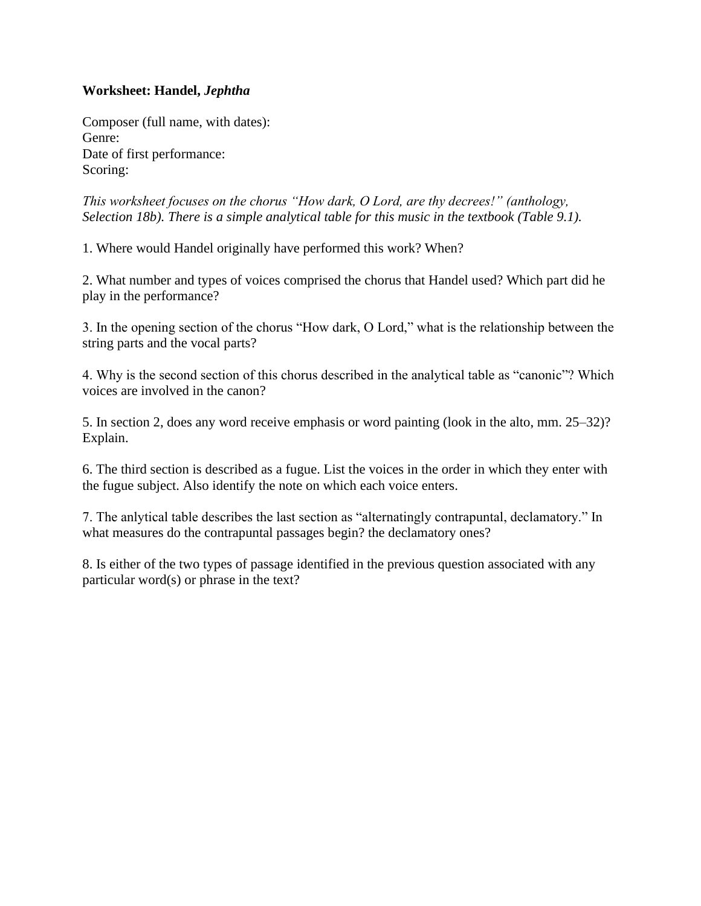## **Worksheet: Handel,** *Jephtha*

Composer (full name, with dates): Genre: Date of first performance: Scoring:

*This worksheet focuses on the chorus "How dark, O Lord, are thy decrees!" (anthology, Selection 18b). There is a simple analytical table for this music in the textbook (Table 9.1).*

1. Where would Handel originally have performed this work? When?

2. What number and types of voices comprised the chorus that Handel used? Which part did he play in the performance?

3. In the opening section of the chorus "How dark, O Lord," what is the relationship between the string parts and the vocal parts?

4. Why is the second section of this chorus described in the analytical table as "canonic"? Which voices are involved in the canon?

5. In section 2, does any word receive emphasis or word painting (look in the alto, mm. 25–32)? Explain.

6. The third section is described as a fugue. List the voices in the order in which they enter with the fugue subject. Also identify the note on which each voice enters.

7. The anlytical table describes the last section as "alternatingly contrapuntal, declamatory." In what measures do the contrapuntal passages begin? the declamatory ones?

8. Is either of the two types of passage identified in the previous question associated with any particular word(s) or phrase in the text?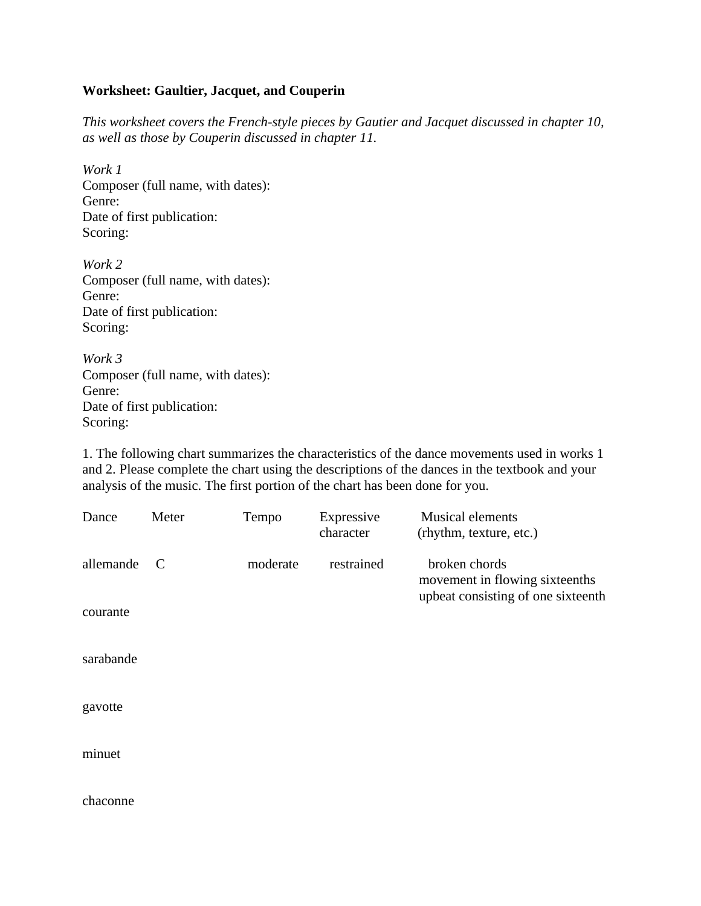#### **Worksheet: Gaultier, Jacquet, and Couperin**

*This worksheet covers the French-style pieces by Gautier and Jacquet discussed in chapter 10, as well as those by Couperin discussed in chapter 11.*

*Work 1* Composer (full name, with dates): Genre: Date of first publication: Scoring:

*Work 2* Composer (full name, with dates): Genre: Date of first publication: Scoring:

*Work 3* Composer (full name, with dates): Genre: Date of first publication: Scoring:

1. The following chart summarizes the characteristics of the dance movements used in works 1 and 2. Please complete the chart using the descriptions of the dances in the textbook and your analysis of the music. The first portion of the chart has been done for you.

| Dance     | Meter | Tempo    | Expressive<br>character | <b>Musical elements</b><br>(rhythm, texture, etc.) |
|-----------|-------|----------|-------------------------|----------------------------------------------------|
| allemande | C     | moderate | restrained              | broken chords<br>movement in flowing sixteenths    |
| courante  |       |          |                         | upbeat consisting of one sixteenth                 |
| sarabande |       |          |                         |                                                    |
| gavotte   |       |          |                         |                                                    |
| minuet    |       |          |                         |                                                    |
| chaconne  |       |          |                         |                                                    |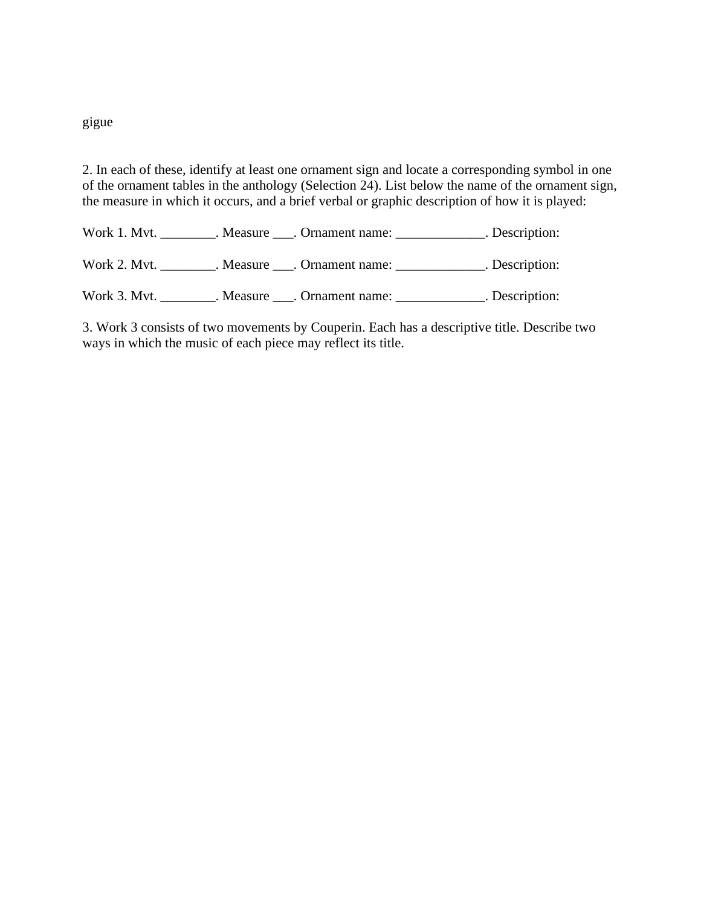## gigue

2. In each of these, identify at least one ornament sign and locate a corresponding symbol in one of the ornament tables in the anthology (Selection 24). List below the name of the ornament sign, the measure in which it occurs, and a brief verbal or graphic description of how it is played:

Work 1. Mvt. \_\_\_\_\_\_\_\_\_. Measure \_\_\_\_. Ornament name: \_\_\_\_\_\_\_\_\_\_\_\_\_\_. Description:

Work 2. Mvt. \_\_\_\_\_\_\_\_. Measure \_\_\_. Ornament name: \_\_\_\_\_\_\_\_\_\_\_\_. Description:

Work 3. Mvt. \_\_\_\_\_\_\_\_. Measure \_\_\_. Ornament name: \_\_\_\_\_\_\_\_\_\_\_\_\_. Description:

3. Work 3 consists of two movements by Couperin. Each has a descriptive title. Describe two ways in which the music of each piece may reflect its title.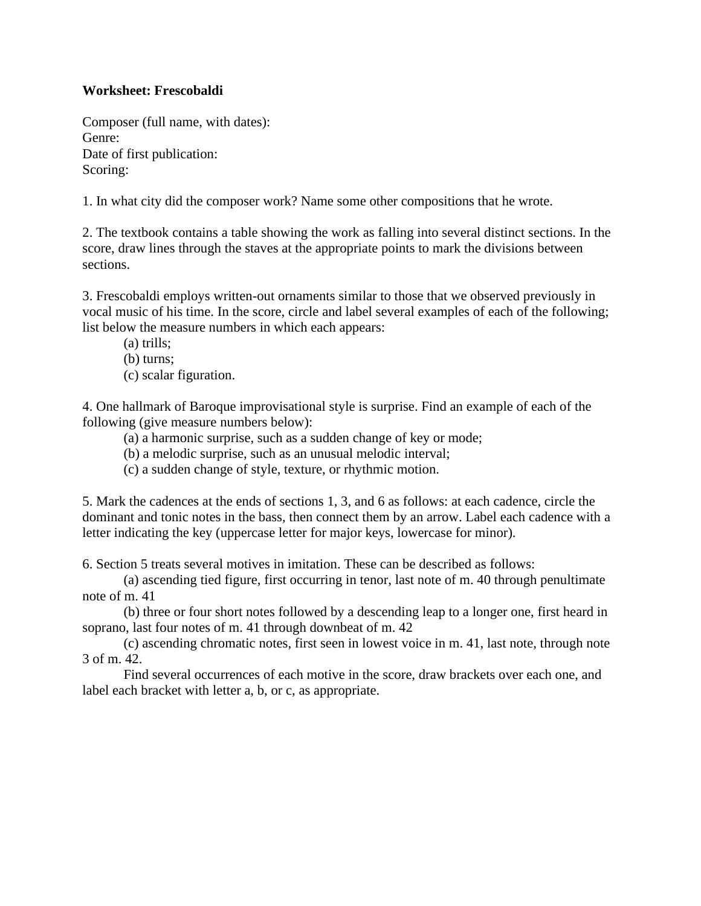## **Worksheet: Frescobaldi**

Composer (full name, with dates): Genre: Date of first publication: Scoring:

1. In what city did the composer work? Name some other compositions that he wrote.

2. The textbook contains a table showing the work as falling into several distinct sections. In the score, draw lines through the staves at the appropriate points to mark the divisions between sections.

3. Frescobaldi employs written-out ornaments similar to those that we observed previously in vocal music of his time. In the score, circle and label several examples of each of the following; list below the measure numbers in which each appears:

- (a) trills;
- (b) turns;
- (c) scalar figuration.

4. One hallmark of Baroque improvisational style is surprise. Find an example of each of the following (give measure numbers below):

- (a) a harmonic surprise, such as a sudden change of key or mode;
- (b) a melodic surprise, such as an unusual melodic interval;
- (c) a sudden change of style, texture, or rhythmic motion.

5. Mark the cadences at the ends of sections 1, 3, and 6 as follows: at each cadence, circle the dominant and tonic notes in the bass, then connect them by an arrow. Label each cadence with a letter indicating the key (uppercase letter for major keys, lowercase for minor).

6. Section 5 treats several motives in imitation. These can be described as follows:

(a) ascending tied figure, first occurring in tenor, last note of m. 40 through penultimate note of m. 41

(b) three or four short notes followed by a descending leap to a longer one, first heard in soprano, last four notes of m. 41 through downbeat of m. 42

(c) ascending chromatic notes, first seen in lowest voice in m. 41, last note, through note 3 of m. 42.

Find several occurrences of each motive in the score, draw brackets over each one, and label each bracket with letter a, b, or c, as appropriate.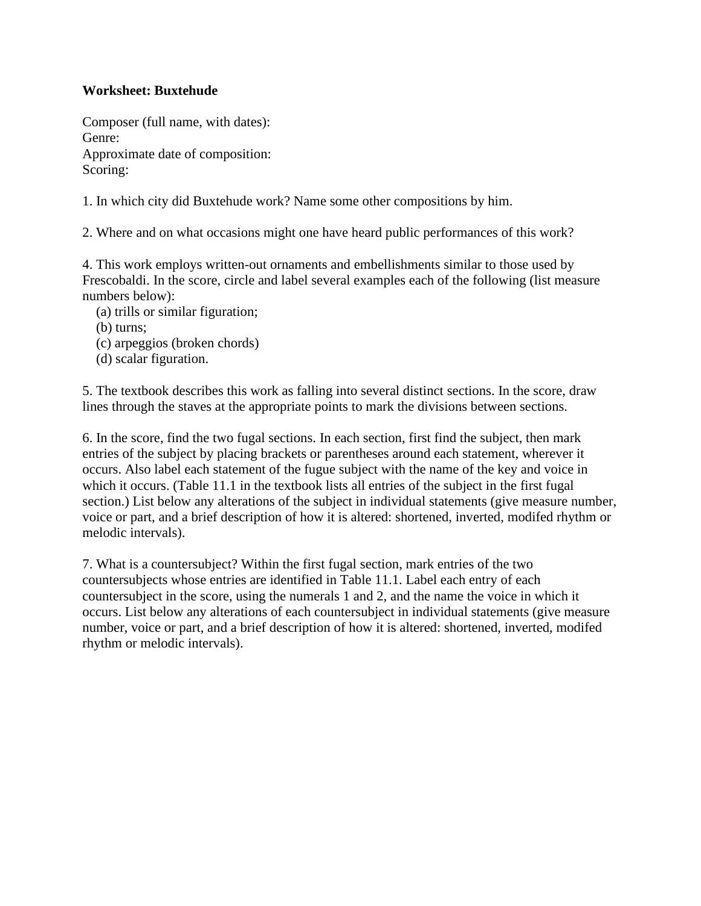## **Worksheet: Buxtehude**

Composer (full name, with dates): Genre: Approximate date of composition: Scoring:

1. In which city did Buxtehude work? Name some other compositions by him.

2. Where and on what occasions might one have heard public performances of this work?

4. This work employs written-out ornaments and embellishments similar to those used by Frescobaldi. In the score, circle and label several examples each of the following (list measure numbers below):

- (a) trills or similar figuration;
- (b) turns;
- (c) arpeggios (broken chords)
- (d) scalar figuration.

5. The textbook describes this work as falling into several distinct sections. In the score, draw lines through the staves at the appropriate points to mark the divisions between sections.

6. In the score, find the two fugal sections. In each section, first find the subject, then mark entries of the subject by placing brackets or parentheses around each statement, wherever it occurs. Also label each statement of the fugue subject with the name of the key and voice in which it occurs. (Table 11.1 in the textbook lists all entries of the subject in the first fugal section.) List below any alterations of the subject in individual statements (give measure number, voice or part, and a brief description of how it is altered: shortened, inverted, modifed rhythm or melodic intervals).

7. What is a countersubject? Within the first fugal section, mark entries of the two countersubjects whose entries are identified in Table 11.1. Label each entry of each countersubject in the score, using the numerals 1 and 2, and the name the voice in which it occurs. List below any alterations of each countersubject in individual statements (give measure number, voice or part, and a brief description of how it is altered: shortened, inverted, modifed rhythm or melodic intervals).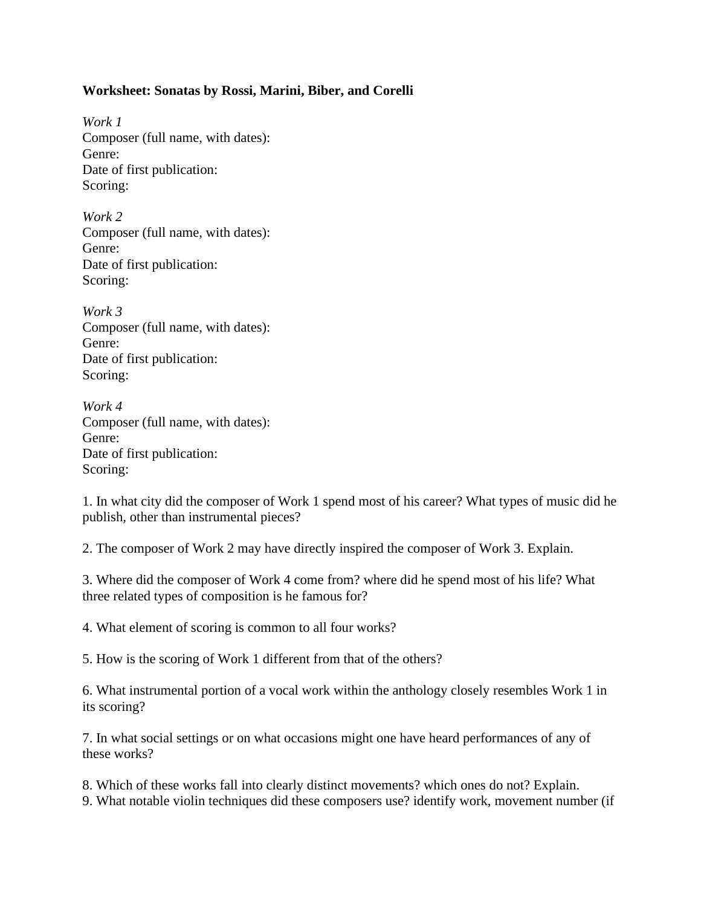## **Worksheet: Sonatas by Rossi, Marini, Biber, and Corelli**

*Work 1* Composer (full name, with dates): Genre: Date of first publication: Scoring:

*Work 2* Composer (full name, with dates): Genre: Date of first publication: Scoring:

*Work 3* Composer (full name, with dates): Genre: Date of first publication: Scoring:

*Work 4* Composer (full name, with dates): Genre: Date of first publication: Scoring:

1. In what city did the composer of Work 1 spend most of his career? What types of music did he publish, other than instrumental pieces?

2. The composer of Work 2 may have directly inspired the composer of Work 3. Explain.

3. Where did the composer of Work 4 come from? where did he spend most of his life? What three related types of composition is he famous for?

4. What element of scoring is common to all four works?

5. How is the scoring of Work 1 different from that of the others?

6. What instrumental portion of a vocal work within the anthology closely resembles Work 1 in its scoring?

7. In what social settings or on what occasions might one have heard performances of any of these works?

8. Which of these works fall into clearly distinct movements? which ones do not? Explain. 9. What notable violin techniques did these composers use? identify work, movement number (if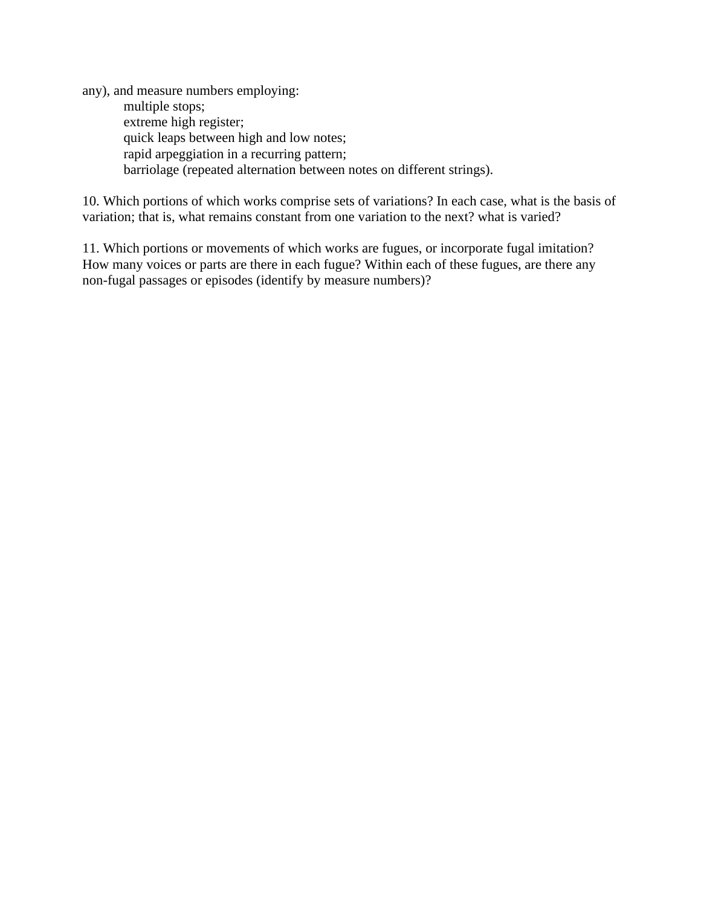any), and measure numbers employing: multiple stops; extreme high register; quick leaps between high and low notes; rapid arpeggiation in a recurring pattern; barriolage (repeated alternation between notes on different strings).

10. Which portions of which works comprise sets of variations? In each case, what is the basis of variation; that is, what remains constant from one variation to the next? what is varied?

11. Which portions or movements of which works are fugues, or incorporate fugal imitation? How many voices or parts are there in each fugue? Within each of these fugues, are there any non-fugal passages or episodes (identify by measure numbers)?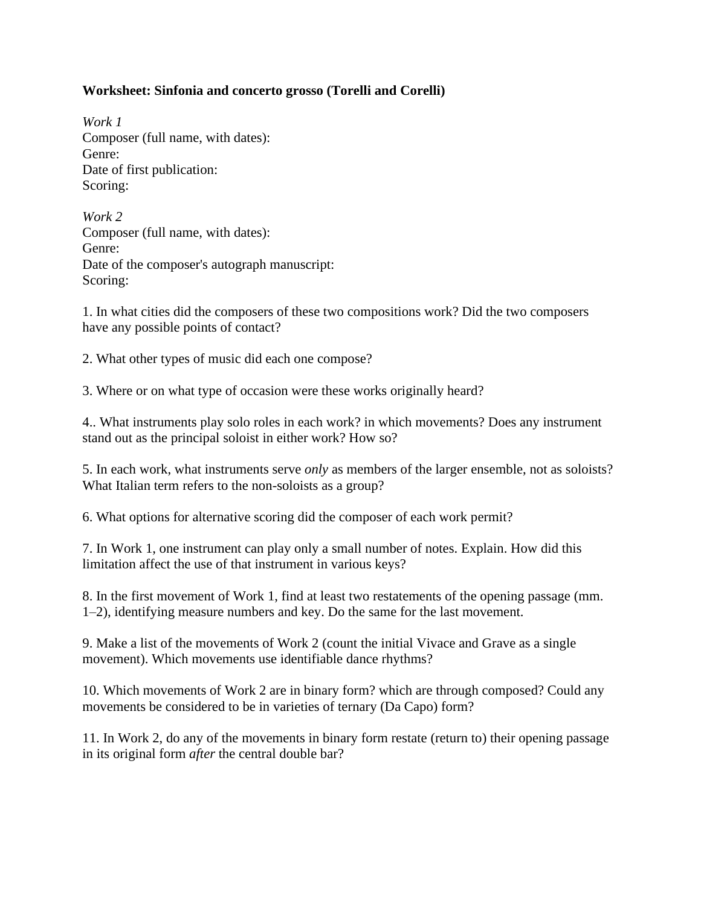# **Worksheet: Sinfonia and concerto grosso (Torelli and Corelli)**

*Work 1* Composer (full name, with dates): Genre: Date of first publication: Scoring:

*Work 2* Composer (full name, with dates): Genre: Date of the composer's autograph manuscript: Scoring:

1. In what cities did the composers of these two compositions work? Did the two composers have any possible points of contact?

2. What other types of music did each one compose?

3. Where or on what type of occasion were these works originally heard?

4.. What instruments play solo roles in each work? in which movements? Does any instrument stand out as the principal soloist in either work? How so?

5. In each work, what instruments serve *only* as members of the larger ensemble, not as soloists? What Italian term refers to the non-soloists as a group?

6. What options for alternative scoring did the composer of each work permit?

7. In Work 1, one instrument can play only a small number of notes. Explain. How did this limitation affect the use of that instrument in various keys?

8. In the first movement of Work 1, find at least two restatements of the opening passage (mm. 1–2), identifying measure numbers and key. Do the same for the last movement.

9. Make a list of the movements of Work 2 (count the initial Vivace and Grave as a single movement). Which movements use identifiable dance rhythms?

10. Which movements of Work 2 are in binary form? which are through composed? Could any movements be considered to be in varieties of ternary (Da Capo) form?

11. In Work 2, do any of the movements in binary form restate (return to) their opening passage in its original form *after* the central double bar?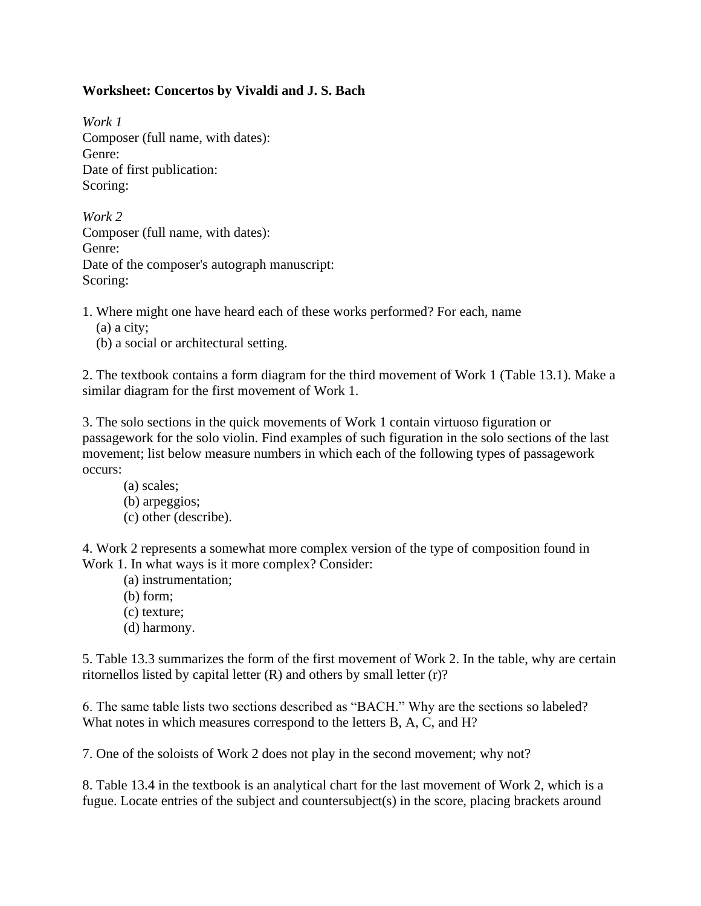# **Worksheet: Concertos by Vivaldi and J. S. Bach**

*Work 1* Composer (full name, with dates): Genre: Date of first publication: Scoring:

*Work 2* Composer (full name, with dates): Genre: Date of the composer's autograph manuscript: Scoring:

- 1. Where might one have heard each of these works performed? For each, name
	- (a) a city;
	- (b) a social or architectural setting.

2. The textbook contains a form diagram for the third movement of Work 1 (Table 13.1). Make a similar diagram for the first movement of Work 1.

3. The solo sections in the quick movements of Work 1 contain virtuoso figuration or passagework for the solo violin. Find examples of such figuration in the solo sections of the last movement; list below measure numbers in which each of the following types of passagework occurs:

(a) scales; (b) arpeggios; (c) other (describe).

4. Work 2 represents a somewhat more complex version of the type of composition found in Work 1. In what ways is it more complex? Consider:

- (a) instrumentation;
- (b) form;
- (c) texture;
- (d) harmony.

5. Table 13.3 summarizes the form of the first movement of Work 2. In the table, why are certain ritornellos listed by capital letter  $(R)$  and others by small letter  $(r)$ ?

6. The same table lists two sections described as "BACH." Why are the sections so labeled? What notes in which measures correspond to the letters B, A, C, and H?

7. One of the soloists of Work 2 does not play in the second movement; why not?

8. Table 13.4 in the textbook is an analytical chart for the last movement of Work 2, which is a fugue. Locate entries of the subject and countersubject(s) in the score, placing brackets around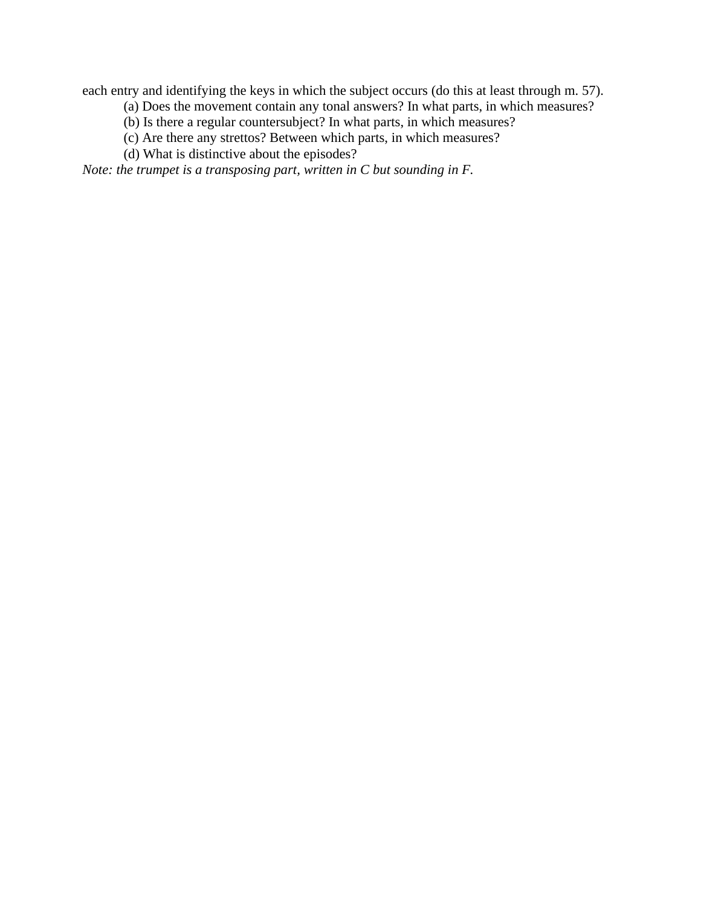each entry and identifying the keys in which the subject occurs (do this at least through m. 57).

- (a) Does the movement contain any tonal answers? In what parts, in which measures?
- (b) Is there a regular countersubject? In what parts, in which measures?
- (c) Are there any strettos? Between which parts, in which measures?
- (d) What is distinctive about the episodes?

*Note: the trumpet is a transposing part, written in C but sounding in F.*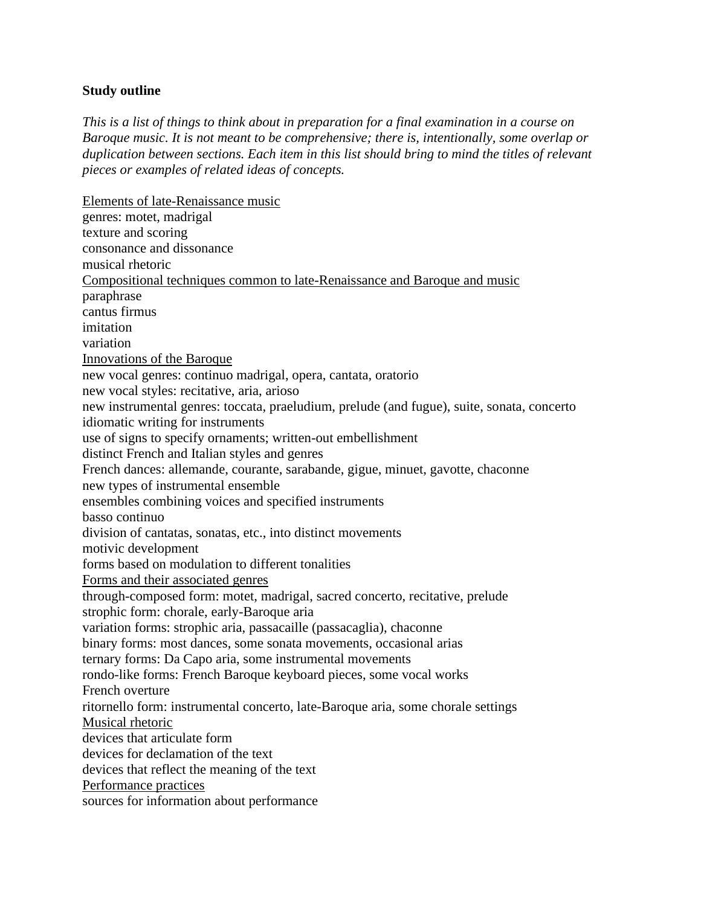#### **Study outline**

*This is a list of things to think about in preparation for a final examination in a course on Baroque music. It is not meant to be comprehensive; there is, intentionally, some overlap or duplication between sections. Each item in this list should bring to mind the titles of relevant pieces or examples of related ideas of concepts.*

Elements of late-Renaissance music genres: motet, madrigal texture and scoring consonance and dissonance musical rhetoric Compositional techniques common to late-Renaissance and Baroque and music paraphrase cantus firmus imitation variation Innovations of the Baroque new vocal genres: continuo madrigal, opera, cantata, oratorio new vocal styles: recitative, aria, arioso new instrumental genres: toccata, praeludium, prelude (and fugue), suite, sonata, concerto idiomatic writing for instruments use of signs to specify ornaments; written-out embellishment distinct French and Italian styles and genres French dances: allemande, courante, sarabande, gigue, minuet, gavotte, chaconne new types of instrumental ensemble ensembles combining voices and specified instruments basso continuo division of cantatas, sonatas, etc., into distinct movements motivic development forms based on modulation to different tonalities Forms and their associated genres through-composed form: motet, madrigal, sacred concerto, recitative, prelude strophic form: chorale, early-Baroque aria variation forms: strophic aria, passacaille (passacaglia), chaconne binary forms: most dances, some sonata movements, occasional arias ternary forms: Da Capo aria, some instrumental movements rondo-like forms: French Baroque keyboard pieces, some vocal works French overture ritornello form: instrumental concerto, late-Baroque aria, some chorale settings Musical rhetoric devices that articulate form devices for declamation of the text devices that reflect the meaning of the text Performance practices sources for information about performance